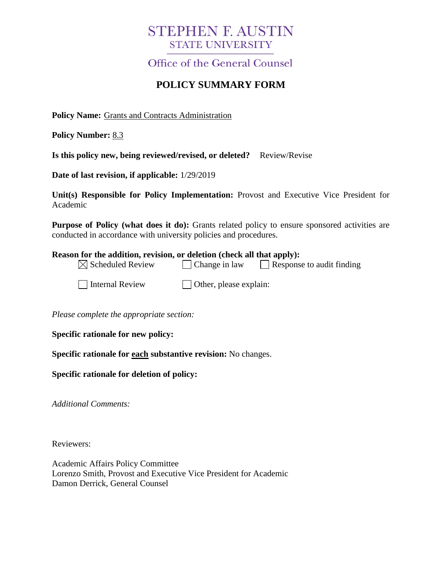# **STEPHEN F. AUSTIN STATE UNIVERSITY**

Office of the General Counsel

## **POLICY SUMMARY FORM**

**Policy Name:** Grants and Contracts Administration

**Policy Number:** 8.3

**Is this policy new, being reviewed/revised, or deleted?** Review/Revise

**Date of last revision, if applicable:** 1/29/2019

**Unit(s) Responsible for Policy Implementation:** Provost and Executive Vice President for Academic

**Purpose of Policy (what does it do):** Grants related policy to ensure sponsored activities are conducted in accordance with university policies and procedures.

#### **Reason for the addition, revision, or deletion (check all that apply):**

| $\boxtimes$ Scheduled Review | $\Box$ Change in law | Response to audit finding |  |
|------------------------------|----------------------|---------------------------|--|
|                              |                      |                           |  |

 $\Box$  Internal Review  $\Box$  Other, please explain:

*Please complete the appropriate section:*

**Specific rationale for new policy:**

**Specific rationale for each substantive revision:** No changes.

### **Specific rationale for deletion of policy:**

*Additional Comments:*

Reviewers:

Academic Affairs Policy Committee Lorenzo Smith, Provost and Executive Vice President for Academic Damon Derrick, General Counsel